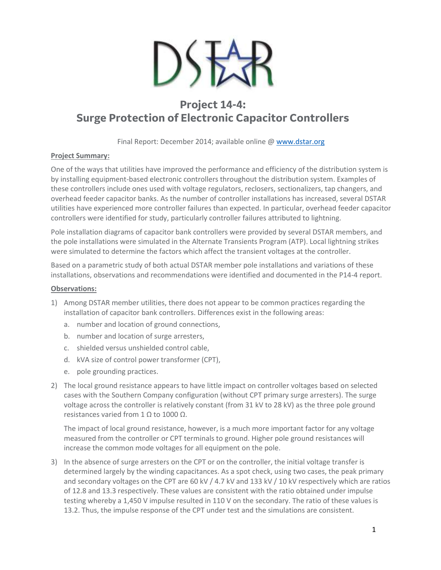

# **Project 14-4: Surge Protection of Electronic Capacitor Controllers**

Final Report: December 2014; available online @ [www.dstar.org](http://www.dstar.org/research/project/96/P14-4-surge-protection-of-electronically-controlled-devices-installed-in-distribution-systems)

## **Project Summary:**

One of the ways that utilities have improved the performance and efficiency of the distribution system is by installing equipment-based electronic controllers throughout the distribution system. Examples of these controllers include ones used with voltage regulators, reclosers, sectionalizers, tap changers, and overhead feeder capacitor banks. As the number of controller installations has increased, several DSTAR utilities have experienced more controller failures than expected. In particular, overhead feeder capacitor controllers were identified for study, particularly controller failures attributed to lightning.

Pole installation diagrams of capacitor bank controllers were provided by several DSTAR members, and the pole installations were simulated in the Alternate Transients Program (ATP). Local lightning strikes were simulated to determine the factors which affect the transient voltages at the controller.

Based on a parametric study of both actual DSTAR member pole installations and variations of these installations, observations and recommendations were identified and documented in the P14-4 report.

## **Observations:**

- 1) Among DSTAR member utilities, there does not appear to be common practices regarding the installation of capacitor bank controllers. Differences exist in the following areas:
	- a. number and location of ground connections,
	- b. number and location of surge arresters,
	- c. shielded versus unshielded control cable,
	- d. kVA size of control power transformer (CPT),
	- e. pole grounding practices.
- 2) The local ground resistance appears to have little impact on controller voltages based on selected cases with the Southern Company configuration (without CPT primary surge arresters). The surge voltage across the controller is relatively constant (from 31 kV to 28 kV) as the three pole ground resistances varied from 1 Ω to 1000 Ω.

The impact of local ground resistance, however, is a much more important factor for any voltage measured from the controller or CPT terminals to ground. Higher pole ground resistances will increase the common mode voltages for all equipment on the pole.

3) In the absence of surge arresters on the CPT or on the controller, the initial voltage transfer is determined largely by the winding capacitances. As a spot check, using two cases, the peak primary and secondary voltages on the CPT are 60 kV / 4.7 kV and 133 kV / 10 kV respectively which are ratios of 12.8 and 13.3 respectively. These values are consistent with the ratio obtained under impulse testing whereby a 1,450 V impulse resulted in 110 V on the secondary. The ratio of these values is 13.2. Thus, the impulse response of the CPT under test and the simulations are consistent.